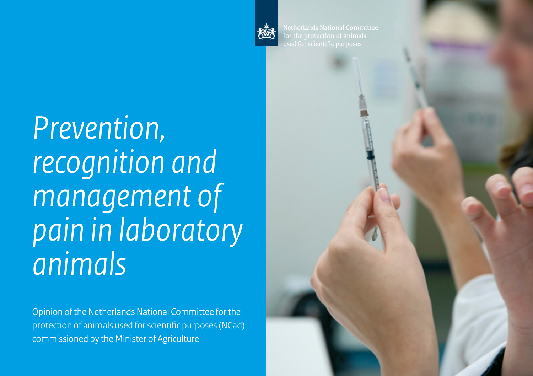

*1 | Prevention, recognition and management of pain in laboratory animals*

*Prevention, recognition and management of pain in laboratory animals*

Opinion of the Netherlands National Committee for the protection of animals used for scientific purposes (NCad) commissioned by the Minister of Agriculture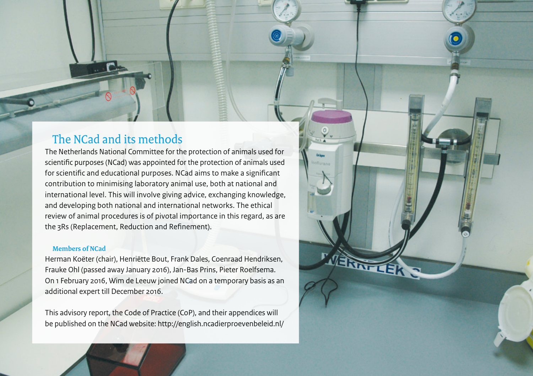## The NCad and its methods

The Netherlands National Committee for the protection of animals used for scientific purposes (NCad) was appointed for the protection of animals used for scientific and educational purposes. NCad aims to make a significant contribution to minimising laboratory animal use, both at national and international level. This will involve giving advice, exchanging knowledge, and developing both national and international networks. The ethical review of animal procedures is of pivotal importance in this regard, as are the 3Rs (Replacement, Reduction and Refinement).

#### **Members of NCad**

Herman Koëter (chair), Henriëtte Bout, Frank Dales, Coenraad Hendriksen, Frauke Ohl (passed away January 2016), Jan-Bas Prins, Pieter Roelfsema. On 1 February 2016, Wim de Leeuw joined NCad on a temporary basis as an additional expert till December 2016.

ERWY LEK

This advisory report, the Code of Practice (CoP), and their appendices will be published on the NCad website:<http://english.ncadierproevenbeleid.nl/>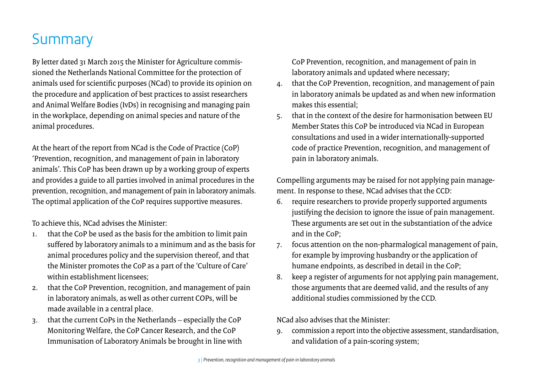# **Summary**

By letter dated 31 March 2015 the Minister for Agriculture commissioned the Netherlands National Committee for the protection of animals used for scientific purposes (NCad) to provide its opinion on the procedure and application of best practices to assist researchers and Animal Welfare Bodies (IvDs) in recognising and managing pain in the workplace, depending on animal species and nature of the animal procedures.

At the heart of the report from NCad is the Code of Practice (CoP) 'Prevention, recognition, and management of pain in laboratory animals'. This CoP has been drawn up by a working group of experts and provides a guide to all parties involved in animal procedures in the prevention, recognition, and management of pain in laboratory animals. The optimal application of the CoP requires supportive measures.

To achieve this, NCad advises the Minister:

- 1. that the CoP be used as the basis for the ambition to limit pain suffered by laboratory animals to a minimum and as the basis for animal procedures policy and the supervision thereof, and that the Minister promotes the CoP as a part of the 'Culture of Care' within establishment licensees;
- 2. that the CoP Prevention, recognition, and management of pain in laboratory animals, as well as other current COPs, will be made available in a central place.
- 3. that the current CoPs in the Netherlands especially the CoP Monitoring Welfare, the CoP Cancer Research, and the CoP Immunisation of Laboratory Animals be brought in line with

CoP Prevention, recognition, and management of pain in laboratory animals and updated where necessary;

- that the CoP Prevention, recognition, and management of pain in laboratory animals be updated as and when new information makes this essential;
- 5. that in the context of the desire for harmonisation between EU Member States this CoP be introduced via NCad in European consultations and used in a wider internationally-supported code of practice Prevention, recognition, and management of pain in laboratory animals.

Compelling arguments may be raised for not applying pain management. In response to these, NCad advises that the CCD:

- 6. require researchers to provide properly supported arguments justifying the decision to ignore the issue of pain management. These arguments are set out in the substantiation of the advice and in the CoP;
- 7. focus attention on the non-pharmalogical management of pain, for example by improving husbandry or the application of humane endpoints, as described in detail in the CoP;
- 8. keep a register of arguments for not applying pain management, those arguments that are deemed valid, and the results of any additional studies commissioned by the CCD.

NCad also advises that the Minister:

9. commission a report into the objective assessment, standardisation, and validation of a pain-scoring system;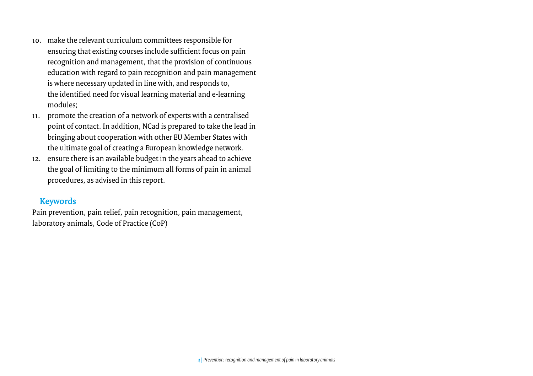- 10. make the relevant curriculum committees responsible for ensuring that existing courses include sufficient focus on pain recognition and management, that the provision of continuous education with regard to pain recognition and pain management is where necessary updated in line with, and responds to, the identified need for visual learning material and e-learning modules;
- 11. promote the creation of a network of experts with a centralised point of contact. In addition, NCad is prepared to take the lead in bringing about cooperation with other EU Member States with the ultimate goal of creating a European knowledge network.
- 12. ensure there is an available budget in the years ahead to achieve the goal of limiting to the minimum all forms of pain in animal procedures, as advised in this report.

### **Keywords**

Pain prevention, pain relief, pain recognition, pain management, laboratory animals, Code of Practice (CoP)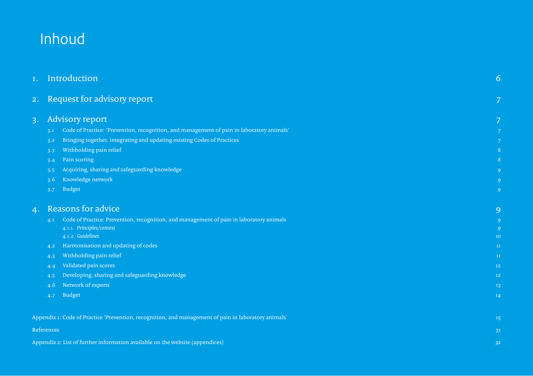# Inhoud

| 1. | Introduction                                                                                         |                |  |  |
|----|------------------------------------------------------------------------------------------------------|----------------|--|--|
| 2. | Request for advisory report                                                                          | 7              |  |  |
| 3. | <b>Advisory report</b>                                                                               | 7              |  |  |
|    | Code of Practice: 'Prevention, recognition, and management of pain in laboratory animals'<br>3.1     | 7              |  |  |
|    | Bringing together, integrating and updating existing Codes of Practices<br>3.2                       | 7              |  |  |
|    | Withholding pain relief<br>3.3                                                                       | 8              |  |  |
|    | Pain scoring<br>3.4                                                                                  | 8              |  |  |
|    | Acquiring, sharing and safeguarding knowledge<br>3.5                                                 | 9              |  |  |
|    | Knowledge network<br>3.6                                                                             | 9              |  |  |
|    | <b>Budget</b><br>3.7                                                                                 | 9              |  |  |
| 4. | <b>Reasons for advice</b>                                                                            | 9              |  |  |
|    | Code of Practice: Prevention, recognition, and management of pain in laboratory animals<br>4.1       | $\overline{9}$ |  |  |
|    | 4.1.1. Principles/context                                                                            | $\overline{9}$ |  |  |
|    | 4.1.2. Guidelines                                                                                    | 10             |  |  |
|    | Harmonisation and updating of codes<br>4.2                                                           | 11             |  |  |
|    | Withholding pain relief<br>4.3                                                                       | 11             |  |  |
|    | Validated pain scores<br>4.4                                                                         | 12             |  |  |
|    | Developing, sharing and safeguarding knowledge<br>4.5                                                | 12             |  |  |
|    | Network of experts<br>4.6                                                                            | 13             |  |  |
|    | <b>Budget</b><br>4.7                                                                                 | 14             |  |  |
|    | Appendix 1: Code of Practice 'Prevention, recognition, and management of pain in laboratory animals' | 15             |  |  |
|    | References                                                                                           | 31             |  |  |
|    | Appendix 2: List of further information available on the website (appendices)                        | 32             |  |  |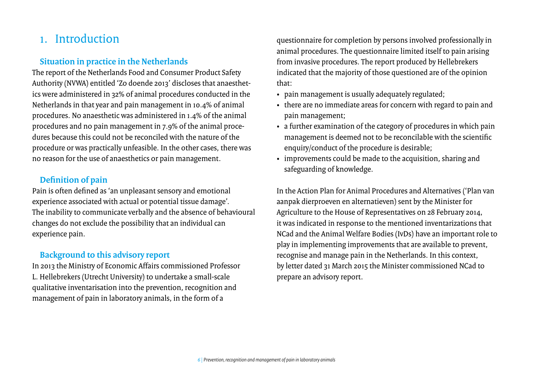## <span id="page-5-0"></span>1. Introduction

## **Situation in practice in the Netherlands**

The report of the Netherlands Food and Consumer Product Safety Authority (NVWA) entitled 'Zo doende 2013' discloses that anaesthetics were administered in 32% of animal procedures conducted in the Netherlands in that year and pain management in 10.4% of animal procedures. No anaesthetic was administered in 1.4% of the animal procedures and no pain management in 7.9% of the animal procedures because this could not be reconciled with the nature of the procedure or was practically unfeasible. In the other cases, there was no reason for the use of anaesthetics or pain management.

## **Definition of pain**

Pain is often defined as 'an unpleasant sensory and emotional experience associated with actual or potential tissue damage'. The inability to communicate verbally and the absence of behavioural changes do not exclude the possibility that an individual can experience pain.

## **Background to this advisory report**

In 2013 the Ministry of Economic Affairs commissioned Professor L. Hellebrekers (Utrecht University) to undertake a small-scale qualitative inventarisation into the prevention, recognition and management of pain in laboratory animals, in the form of a

questionnaire for completion by persons involved professionally in animal procedures. The questionnaire limited itself to pain arising from invasive procedures. The report produced by Hellebrekers indicated that the majority of those questioned are of the opinion that:

- pain management is usually adequately regulated;
- there are no immediate areas for concern with regard to pain and pain management;
- a further examination of the category of procedures in which pain management is deemed not to be reconcilable with the scientific enquiry/conduct of the procedure is desirable;
- improvements could be made to the acquisition, sharing and safeguarding of knowledge.

In the Action Plan for Animal Procedures and Alternatives ('Plan van aanpak dierproeven en alternatieven) sent by the Minister for Agriculture to the House of Representatives on 28 February 2014, it was indicated in response to the mentioned inventarizations that NCad and the Animal Welfare Bodies (IvDs) have an important role to play in implementing improvements that are available to prevent, recognise and manage pain in the Netherlands. In this context, byletter dated 31 March 2015 the Minister commissioned NCad to prepare an advisory report.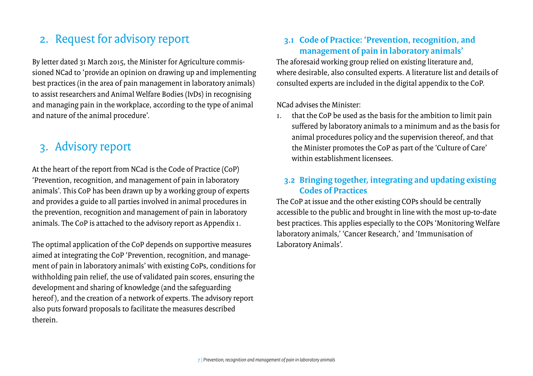## <span id="page-6-0"></span>2. Request for advisory report

By letter dated 31 March 2015, the Minister for Agriculture commissioned NCad to 'provide an opinion on drawing up and implementing best practices (in the area of pain management in laboratory animals) to assist researchers and Animal Welfare Bodies (IvDs) in recognising and managing pain in the workplace, according to the type of animal and nature of the animal procedure'.

## 3. Advisory report

At the heart of the report from NCad is the Code of Practice (CoP) 'Prevention, recognition, and management of pain in laboratory animals'. This CoP has been drawn up by a working group of experts and provides a guide to all parties involved in animal procedures in the prevention, recognition and management of pain in laboratory animals. The CoP is attached to the advisory report as Appendix 1.

The optimal application of the CoP depends on supportive measures aimed at integrating the CoP 'Prevention, recognition, and management of pain in laboratory animals' with existing CoPs, conditions for withholding pain relief, the use of validated pain scores, ensuring the development and sharing of knowledge (and the safeguarding hereof ), and the creation of a network of experts. The advisory report also puts forward proposals to facilitate the measures described therein.

## **3.1 Code of Practice: 'Prevention, recognition, and management of pain in laboratory animals'**

The aforesaid working group relied on existing literature and, where desirable, also consulted experts. A literature list and details of consulted experts are included in the digital appendix to the CoP.

NCad advises the Minister:

1. that the CoP be used as the basis for the ambition to limit pain suffered by laboratory animals to a minimum and as the basis for animal procedures policy and the supervision thereof, and that the Minister promotes the CoP as part of the 'Culture of Care' within establishment licensees.

## **3.2 Bringing together, integrating and updating existing Codes of Practices**

The CoP at issue and the other existing COPs should be centrally accessible to the public and brought in line with the most up-to-date best practices. This applies especially to the COPs 'Monitoring Welfare laboratory animals,' 'Cancer Research,' and 'Immunisation of Laboratory Animals'.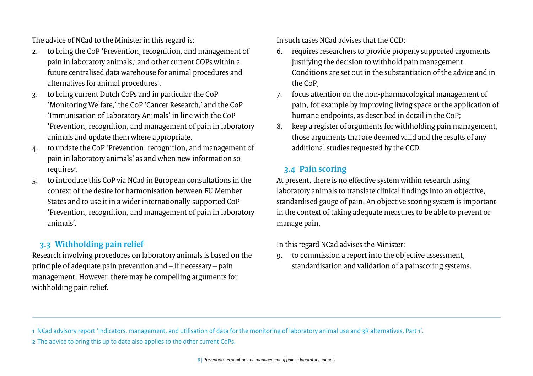<span id="page-7-0"></span>The advice of NCad to the Minister in this regard is:

- 2. to bring the CoP 'Prevention, recognition, and management of pain in laboratory animals,' and other current COPs within a future centralised data warehouse for animal procedures and alternatives for animal procedures<sup>1</sup>.
- 3. to bring current Dutch CoPs and in particular the CoP 'Monitoring Welfare,' the CoP 'Cancer Research,' and the CoP 'Immunisation of Laboratory Animals' in line with the CoP 'Prevention, recognition, and management of pain in laboratory animals and update them where appropriate.
- 4. to update the CoP 'Prevention, recognition, and management of pain in laboratory animals' as and when new information so requires<sup>2</sup>.
- 5. to introduce this CoP via NCad in European consultations in the context of the desire for harmonisation between EU Member States and to use it in a wider internationally-supported CoP 'Prevention, recognition, and management of pain in laboratory animals'.

## **3.3 Withholding pain relief**

Research involving procedures on laboratory animals is based on the principle of adequate pain prevention and – if necessary – pain management. However, there may be compelling arguments for withholding pain relief.

In such cases NCad advises that the CCD:

- 6. requires researchers to provide properly supported arguments justifying the decision to withhold pain management. Conditions are set out in the substantiation of the advice and in the CoP;
- 7. focus attention on the non-pharmacological management of pain, for example by improving living space or the application of humane endpoints, as described in detail in the CoP;
- 8. keep a register of arguments for withholding pain management, those arguments that are deemed valid and the results of any additional studies requested by the CCD.

## **3.4 Pain scoring**

At present, there is no effective system within research using laboratory animals to translate clinical findings into an objective, standardised gauge of pain. An objective scoring system is important in the context of taking adequate measures to be able to prevent or manage pain.

In this regard NCad advises the Minister:

9. to commission a report into the objective assessment, standardisation and validation of a painscoring systems.

1 NCad advisory report 'Indicators, management, and utilisation of data for the monitoring of laboratory animal use and 3R alternatives, Part 1'.

2 The advice to bring this up to date also applies to the other current CoPs.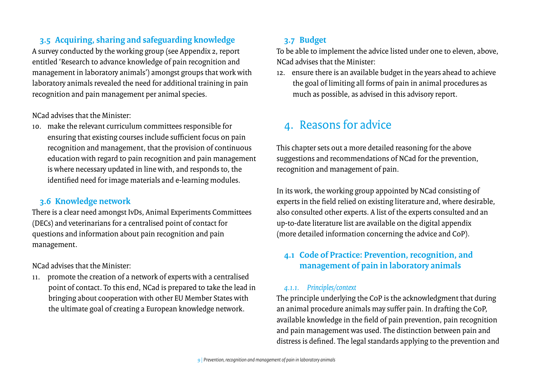## <span id="page-8-0"></span>**3.5 Acquiring, sharing and safeguarding knowledge**

A survey conducted by the working group (see Appendix 2, report entitled 'Research to advance knowledge of pain recognition and management in laboratory animals') amongst groups that work with laboratory animals revealed the need for additional training in pain recognition and pain management per animal species.

### NCad advises that the Minister:

10. make the relevant curriculum committees responsible for ensuring that existing courses include sufficient focus on pain recognition and management, that the provision of continuous education with regard to pain recognition and pain management is where necessary updated in line with, and responds to, the identified need for image materials and e-learning modules.

### **3.6 Knowledge network**

There is a clear need amongst IvDs, Animal Experiments Committees (DECs) and veterinarians for a centralised point of contact for questions and information about pain recognition and pain management.

NCad advises that the Minister:

11. promote the creation of a network of experts with a centralised point of contact. To this end, NCad is prepared to take the lead in bringing about cooperation with other EU Member States with the ultimate goal of creating a European knowledge network.

## **3.7 Budget**

To be able to implement the advice listed under one to eleven, above, NCad advises that the Minister:

12. ensure there is an available budget in the years ahead to achieve the goal of limiting all forms of pain in animal procedures as much as possible, as advised in this advisory report.

## 4. Reasons for advice

This chapter sets out a more detailed reasoning for the above suggestions and recommendations of NCad for the prevention, recognition and management of pain.

In its work, the working group appointed by NCad consisting of experts in the field relied on existing literature and, where desirable, also consulted other experts. A list of the experts consulted and an up-to-date literature list are available on the digital appendix (more detailed information concerning the advice and CoP).

## **4.1 Code of Practice: Prevention, recognition, and management of pain in laboratory animals**

### *4.1.1. Principles/context*

The principle underlying the CoP is the acknowledgment that during an animal procedure animals may suffer pain. In drafting the CoP, available knowledge in the field of pain prevention, pain recognition and pain management was used. The distinction between pain and distress is defined. The legal standards applying to the prevention and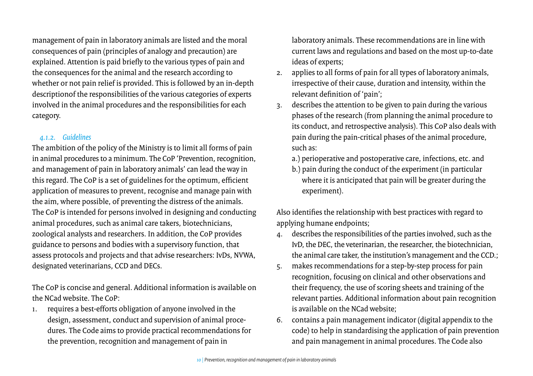<span id="page-9-0"></span>management of pain in laboratory animals are listed and the moral consequences of pain (principles of analogy and precaution) are explained. Attention is paid briefly to the various types of pain and the consequences for the animal and the research according to whether or not pain relief is provided. This is followed by an in-depth descriptionof the responsibilities of the various categories of experts involved in the animal procedures and the responsibilities for each category.

### *4.1.2. Guidelines*

The ambition of the policy of the Ministry is to limit all forms of pain in animal procedures to a minimum. The CoP 'Prevention, recognition, and management of pain in laboratory animals' can lead the way in this regard. The CoP is a set of guidelines for the optimum, efficient application of measures to prevent, recognise and manage pain with the aim, where possible, of preventing the distress of the animals. The CoP is intended for persons involved in designing and conducting animal procedures, such as animal care takers, biotechnicians, zoological analysts and researchers. In addition, the CoP provides guidance to persons and bodies with a supervisory function, that assess protocols and projects and that advise researchers: IvDs, NVWA, designated veterinarians, CCD and DECs.

The CoP is concise and general. Additional information is available on the NCad website. The CoP:

1. requires a best-efforts obligation of anyone involved in the design, assessment, conduct and supervision of animal procedures. The Code aims to provide practical recommendations for the prevention, recognition and management of pain in

laboratory animals. These recommendations are in line with current laws and regulations and based on the most up-to-date ideas of experts;

- 2. applies to all forms of pain for all types of laboratory animals, irrespective of their cause, duration and intensity, within the relevant definition of 'pain';
- 3. describes the attention to be given to pain during the various phases of the research (from planning the animal procedure to its conduct, and retrospective analysis). This CoP also deals with pain during the pain-critical phases of the animal procedure, such as:
	- a.) perioperative and postoperative care, infections, etc. and
	- b.) pain during the conduct of the experiment (in particular where it is anticipated that pain will be greater during the experiment).

Also identifies the relationship with best practices with regard to applying humane endpoints;

- 4. describes the responsibilities of the parties involved, such as the IvD, the DEC, the veterinarian, the researcher, the biotechnician, the animal care taker, the institution's management and the CCD.;
- 5. makes recommendations for a step-by-step process for pain recognition, focusing on clinical and other observations and their frequency, the use of scoring sheets and training of the relevant parties. Additional information about pain recognition is available on the NCad website;
- 6. contains a pain management indicator (digital appendix to the code) to help in standardising the application of pain prevention and pain management in animal procedures. The Code also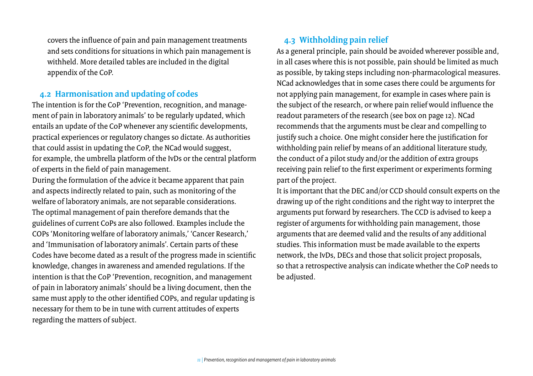<span id="page-10-0"></span>covers the influence of pain and pain management treatments and sets conditions for situations in which pain management is withheld. More detailed tables are included in the digital appendix of the CoP.

### **4.2 Harmonisation and updating of codes**

The intention is for the CoP 'Prevention, recognition, and management of pain in laboratory animals' to be regularly updated, which entails an update of the CoP whenever any scientific developments, practical experiences or regulatory changes so dictate. As authorities that could assist in updating the CoP, the NCad would suggest, for example, the umbrella platform of the IvDs or the central platform of experts in the field of pain management.

During the formulation of the advice it became apparent that pain and aspects indirectly related to pain, such as monitoring of the welfare of laboratory animals, are not separable considerations. The optimal management of pain therefore demands that the guidelines of current CoPs are also followed. Examples include the COPs 'Monitoring welfare of laboratory animals,' 'Cancer Research,' and 'Immunisation of laboratory animals'. Certain parts of these Codes have become dated as a result of the progress made in scientific knowledge, changes in awareness and amended regulations. If the intention is that the CoP 'Prevention, recognition, and management of pain in laboratory animals' should be a living document, then the same must apply to the other identified COPs, and regular updating is necessary for them to be in tune with current attitudes of experts regarding the matters of subject.

## **4.3 Withholding pain relief**

As a general principle, pain should be avoided wherever possible and, in all cases where this is not possible, pain should be limited as much as possible, by taking steps including non-pharmacological measures. NCad acknowledges that in some cases there could be arguments for not applying pain management, for example in cases where pain is the subject of the research, or where pain relief would influence the readout parameters of the research (see box on page 12). NCad recommends that the arguments must be clear and compelling to justify such a choice. One might consider here the justification for withholding pain relief by means of an additional literature study, the conduct of a pilot study and/or the addition of extra groups receiving pain relief to the first experiment or experiments forming part of the project.

It is important that the DEC and/or CCD should consult experts on the drawing up of the right conditions and the right way to interpret the arguments put forward by researchers. The CCD is advised to keep a register of arguments for withholding pain management, those arguments that are deemed valid and the results of any additional studies. This information must be made available to the experts network, the IvDs, DECs and those that solicit project proposals, so that a retrospective analysis can indicate whether the CoP needs to be adjusted.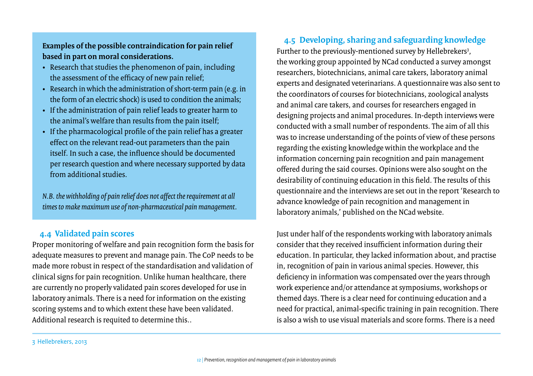<span id="page-11-0"></span>**Examples of the possible contraindication for pain relief based in part on moral considerations.** 

- Research that studies the phenomenon of pain, including the assessment of the efficacy of new pain relief;
- Research in which the administration of short-term pain (e.g. in the form of an electric shock) is used to condition the animals;
- If the administration of pain relief leads to greater harm to the animal's welfare than results from the pain itself;
- If the pharmacological profile of the pain relief has a greater effect on the relevant read-out parameters than the pain itself. In such a case, the influence should be documented per research question and where necessary supported by data from additional studies.

*N.B. the withholding of pain relief does not affect the requirement at all times to make maximum use of non-pharmaceutical pain management.* 

### **4.4 Validated pain scores**

Proper monitoring of welfare and pain recognition form the basis for adequate measures to prevent and manage pain. The CoP needs to be made more robust in respect of the standardisation and validation of clinical signs for pain recognition. Unlike human healthcare, there are currently no properly validated pain scores developed for use in laboratory animals. There is a need for information on the existing scoring systems and to which extent these have been validated. Additional research is requited to determine this..

**4.5 Developing, sharing and safeguarding knowledge**  Further to the previously-mentioned survey by Hellebrekers<sup>3</sup>, the working group appointed by NCad conducted a survey amongst researchers, biotechnicians, animal care takers, laboratory animal experts and designated veterinarians. A questionnaire was also sent to the coordinators of courses for biotechnicians, zoological analysts and animal care takers, and courses for researchers engaged in designing projects and animal procedures. In-depth interviews were conducted with a small number of respondents. The aim of all this was to increase understanding of the points of view of these persons regarding the existing knowledge within the workplace and the information concerning pain recognition and pain management offered during the said courses. Opinions were also sought on the desirability of continuing education in this field. The results of this questionnaire and the interviews are set out in the report 'Research to advance knowledge of pain recognition and management in laboratory animals,' published on the NCad website.

Just under half of the respondents working with laboratory animals consider that they received insufficient information during their education. In particular, they lacked information about, and practise in, recognition of pain in various animal species. However, this deficiency in information was compensated over the years through work experience and/or attendance at symposiums, workshops or themed days. There is a clear need for continuing education and a need for practical, animal-specific training in pain recognition. There is also a wish to use visual materials and score forms. There is a need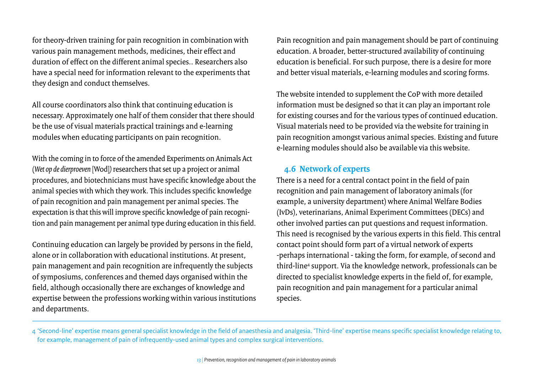<span id="page-12-0"></span>for theory-driven training for pain recognition in combination with various pain management methods, medicines, their effect and duration of effect on the different animal species.. Researchers also have a special need for information relevant to the experiments that they design and conduct themselves.

All course coordinators also think that continuing education is necessary. Approximately one half of them consider that there should be the use of visual materials practical trainings and e-learning modules when educating participants on pain recognition.

With the coming in to force of the amended Experiments on Animals Act (*Wet op de dierproeven* [Wod]*)* researchers that set up a project or animal procedures, and biotechnicians must have specific knowledge about the animal species with which they work. This includes specific knowledge of pain recognition and pain management per animal species. The expectation is that this will improve specific knowledge of pain recognition and pain management per animal type during education in this field.

Continuing education can largely be provided by persons in the field, alone or in collaboration with educational institutions. At present, pain management and pain recognition are infrequently the subjects of symposiums, conferences and themed days organised within the field, although occasionally there are exchanges of knowledge and expertise between the professions working within various institutions and departments.

Pain recognition and pain management should be part of continuing education. A broader, better-structured availability of continuing education is beneficial. For such purpose, there is a desire for more and better visual materials, e-learning modules and scoring forms.

The website intended to supplement the CoP with more detailed information must be designed so that it can play an important role for existing courses and for the various types of continued education. Visual materials need to be provided via the website for training in pain recognition amongst various animal species. Existing and future e-learning modules should also be available via this website.

## **4.6 Network of experts**

There is a need for a central contact point in the field of pain recognition and pain management of laboratory animals (for example, a university department) where Animal Welfare Bodies (IvDs), veterinarians, Animal Experiment Committees (DECs) and other involved parties can put questions and request information. This need is recognised by the various experts in this field. This central contact point should form part of a virtual network of experts -perhaps international - taking the form, for example, of second and third-line4 support. Via the knowledge network, professionals can be directed to specialist knowledge experts in the field of, for example, pain recognition and pain management for a particular animal species.

<sup>4 &#</sup>x27;Second-line' expertise means general specialist knowledge in the field of anaesthesia and analgesia. 'Third-line' expertise means specific specialist knowledge relating to, for example, management of pain of infrequently-used animal types and complex surgical interventions.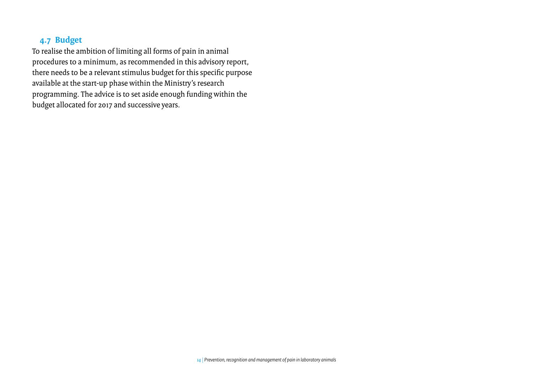## <span id="page-13-0"></span>**4.7 Budget**

To realise the ambition of limiting all forms of pain in animal procedures to a minimum, as recommended in this advisory report, there needs to be a relevant stimulus budget for this specific purpose available at the start-up phase within the Ministry's research programming. The advice is to set aside enough funding within the budget allocated for 2017 and successive years.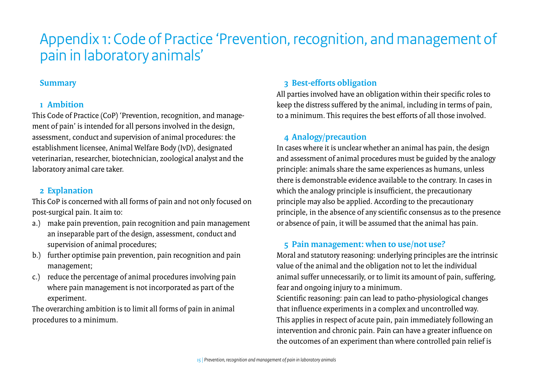# <span id="page-14-0"></span>Appendix 1: Code of Practice 'Prevention, recognition, and management of pain in laboratory animals'

### **Summary**

## **1 Ambition**

This Code of Practice (CoP) 'Prevention, recognition, and management of pain' is intended for all persons involved in the design, assessment, conduct and supervision of animal procedures: the establishment licensee, Animal Welfare Body (IvD), designated veterinarian, researcher, biotechnician, zoological analyst and the laboratory animal care taker.

## **2 Explanation**

This CoP is concerned with all forms of pain and not only focused on post-surgical pain. It aim to:

- a.) make pain prevention, pain recognition and pain management an inseparable part of the design, assessment, conduct and supervision of animal procedures;
- b.) further optimise pain prevention, pain recognition and pain management;
- c.) reduce the percentage of animal procedures involving pain where pain management is not incorporated as part of the experiment.

The overarching ambition is to limit all forms of pain in animal procedures to a minimum.

## **3 Best-efforts obligation**

All parties involved have an obligation within their specific roles to keep the distress suffered by the animal, including in terms of pain, to a minimum. This requires the best efforts of all those involved.

## **4 Analogy/precaution**

In cases where it is unclear whether an animal has pain, the design and assessment of animal procedures must be guided by the analogy principle: animals share the same experiences as humans, unless there is demonstrable evidence available to the contrary. In cases in which the analogy principle is insufficient, the precautionary principle may also be applied. According to the precautionary principle, in the absence of any scientific consensus as to the presence or absence of pain, it will be assumed that the animal has pain.

## **5 Pain management: when to use/not use?**

Moral and statutory reasoning: underlying principles are the intrinsic value of the animal and the obligation not to let the individual animal suffer unnecessarily, or to limit its amount of pain, suffering, fear and ongoing injury to a minimum.

Scientific reasoning: pain can lead to patho-physiological changes that influence experiments in a complex and uncontrolled way. This applies in respect of acute pain, pain immediately following an intervention and chronic pain. Pain can have a greater influence on the outcomes of an experiment than where controlled pain relief is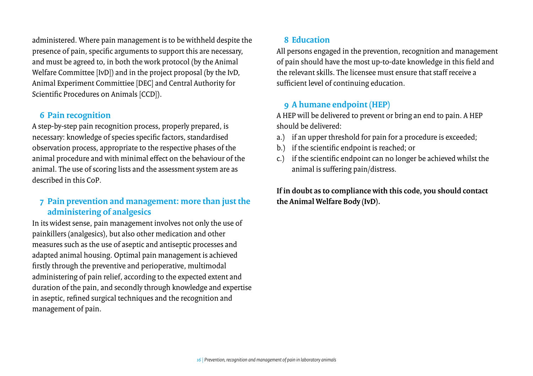administered. Where pain management is to be withheld despite the presence of pain, specific arguments to support this are necessary, and must be agreed to, in both the work protocol (by the Animal Welfare Committee [IvD]) and in the project proposal (by the IvD, Animal Experiment Committiee [DEC] and Central Authority for Scientific Procedures on Animals [CCD]).

### **6 Pain recognition**

A step-by-step pain recognition process, properly prepared, is necessary: knowledge of species specific factors, standardised observation process, appropriate to the respective phases of the animal procedure and with minimal effect on the behaviour of the animal. The use of scoring lists and the assessment system are as described in this CoP*.*

## **7 Pain prevention and management: more than just the administering of analgesics**

In its widest sense, pain management involves not only the use of painkillers (analgesics), but also other medication and other measures such as the use of aseptic and antiseptic processes and adapted animal housing. Optimal pain management is achieved firstly through the preventive and perioperative, multimodal administering of pain relief, according to the expected extent and duration of the pain, and secondly through knowledge and expertise in aseptic, refined surgical techniques and the recognition and management of pain.

## **8 Education**

All persons engaged in the prevention, recognition and management of pain should have the most up-to-date knowledge in this field and the relevant skills. The licensee must ensure that staff receive a sufficient level of continuing education.

## **9 A humane endpoint (HEP)**

A HEP will be delivered to prevent or bring an end to pain. A HEP should be delivered:

- a.) if an upper threshold for pain for a procedure is exceeded;
- b.) if the scientific endpoint is reached; or
- c.) if the scientific endpoint can no longer be achieved whilst the animal is suffering pain/distress.

**If in doubt as to compliance with this code, you should contact the Animal Welfare Body (IvD).**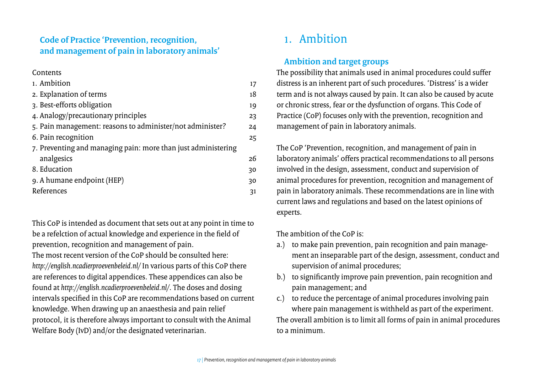## **Code of Practice 'Prevention, recognition, and management of pain in laboratory animals'**

#### **Contents**

| 1. Ambition                                                   | 17 |
|---------------------------------------------------------------|----|
| 2. Explanation of terms                                       | 18 |
| 3. Best-efforts obligation                                    | 19 |
| 4. Analogy/precautionary principles                           | 23 |
| 5. Pain management: reasons to administer/not administer?     | 24 |
| 6. Pain recognition                                           | 25 |
| 7. Preventing and managing pain: more than just administering |    |
| analgesics                                                    | 26 |
| 8. Education                                                  | 30 |
| 9. A humane endpoint (HEP)                                    | 30 |
| References                                                    | 31 |

This CoP is intended as document that sets out at any point in time to be a refelction of actual knowledge and experience in the field of prevention, recognition and management of pain. The most recent version of the CoP should be consulted here: *http://english.ncadierproevenbeleid.nl/* In various parts of this CoP there are references to digital appendices. These appendices can also be found at *http://english.ncadierproevenbeleid.nl/*. The doses and dosing intervals specified in this CoP are recommendations based on current knowledge. When drawing up an anaesthesia and pain relief protocol, it is therefore always important to consult with the Animal Welfare Body (IvD) and/or the designated veterinarian.

## 1. Ambition

## **Ambition and target groups**

The possibility that animals used in animal procedures could suffer distress is an inherent part of such procedures. 'Distress' is a wider term and is not always caused by pain. It can also be caused by acute or chronic stress, fear or the dysfunction of organs. This Code of Practice (CoP) focuses only with the prevention, recognition and management of pain in laboratory animals.

The CoP 'Prevention, recognition, and management of pain in laboratory animals' offers practical recommendations to all persons involved in the design, assessment, conduct and supervision of animal procedures for prevention, recognition and management of pain in laboratory animals. These recommendations are in line with current laws and regulations and based on the latest opinions of experts.

The ambition of the CoP is:

- a.) to make pain prevention, pain recognition and pain management an inseparable part of the design, assessment, conduct and supervision of animal procedures;
- b.) to significantly improve pain prevention, pain recognition and pain management; and
- c.) to reduce the percentage of animal procedures involving pain where pain management is withheld as part of the experiment. The overall ambition is to limit all forms of pain in animal procedures to a minimum.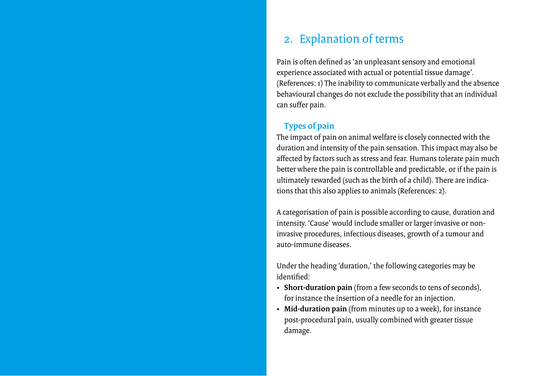## 2. Explanation of terms

Pain is often defined as 'an unpleasant sensory and emotional experience associated with actual or potential tissue damage'. (References: 1) The inability to communicate verbally and the absence behavioural changes do not exclude the possibility that an individual can suffer pain.

### **Types of pain**

The impact of pain on animal welfare is closely connected with the duration and intensity of the pain sensation. This impact may also be affected by factors such as stress and fear. Humans tolerate pain much better where the pain is controllable and predictable, or if the pain is ultimately rewarded (such as the birth of a child). There are indications that this also applies to animals (References: 2).

A categorisation of pain is possible according to cause, duration and intensity. 'Cause' would include smaller or larger invasive or noninvasive procedures, infectious diseases, growth of a tumour and auto-immune diseases.

Under the heading 'duration,' the following categories may be identified:

- **Short-duration pain** (from a few seconds to tens of seconds), for instance the insertion of a needle for an injection.
- **Mid-duration pain** (from minutes up to a week), for instance post-procedural pain, usually combined with greater tissue damage.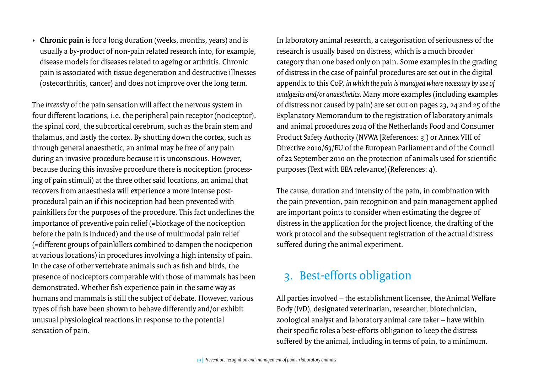• **Chronic pain** is for a long duration (weeks, months, years) and is usually a by-product of non-pain related research into, for example, disease models for diseases related to ageing or arthritis. Chronic pain is associated with tissue degeneration and destructive illnesses (osteoarthritis, cancer) and does not improve over the long term.

The *intensity* of the pain sensation will affect the nervous system in four different locations, i.e. the peripheral pain receptor (nociceptor), the spinal cord, the subcortical cerebrum, such as the brain stem and thalamus, and lastly the cortex. By shutting down the cortex, such as through general anaesthetic, an animal may be free of any pain during an invasive procedure because it is unconscious. However, because during this invasive procedure there is nociception (processing of pain stimuli) at the three other said locations, an animal that recovers from anaesthesia will experience a more intense postprocedural pain an if this nociception had been prevented with painkillers for the purposes of the procedure. This fact underlines the importance of preventive pain relief (=blockage of the nociception before the pain is induced) and the use of multimodal pain relief (=different groups of painkillers combined to dampen the nocicpetion at various locations) in procedures involving a high intensity of pain. In the case of other vertebrate animals such as fish and birds, the presence of nociceptors comparable with those of mammals has been demonstrated. Whether fish experience pain in the same way as humans and mammals is still the subject of debate. However, various types of fish have been shown to behave differently and/or exhibit unusual physiological reactions in response to the potential sensation of pain.

In laboratory animal research, a categorisation of seriousness of the research is usually based on distress, which is a much broader category than one based only on pain. Some examples in the grading of distress in the case of painful procedures are set out in the digital appendix to this CoP, *in which the pain is managed where necessary by use of analgesics and/or anaesthetics.* Many more examples (including examples of distress not caused by pain) are set out on pages 23, 24 and 25 of the Explanatory Memorandum to the registration of laboratory animals and animal procedures 2014 of the Netherlands Food and Consumer Product Safety Authority (NVWA [References: 3]) or Annex VIII of Directive 2010/63/EU of the European Parliament and of the Council of 22 September 2010 on the protection of animals used for scientific purposes (Text with EEA relevance)(References: 4).

The cause, duration and intensity of the pain, in combination with the pain prevention, pain recognition and pain management applied are important points to consider when estimating the degree of distress in the application for the project licence, the drafting of the work protocol and the subsequent registration of the actual distress suffered during the animal experiment.

## 3. Best-efforts obligation

All parties involved – the establishment licensee, the Animal Welfare Body (IvD), designated veterinarian, researcher, biotechnician, zoological analyst and laboratory animal care taker – have within their specific roles a best-efforts obligation to keep the distress suffered by the animal, including in terms of pain, to a minimum.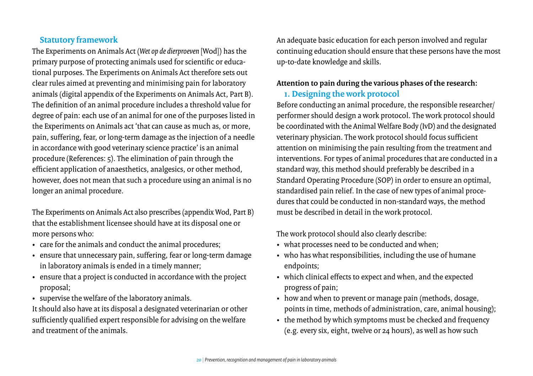## **Statutory framework**

The Experiments on Animals Act (*Wet op de dierproeven* [Wod]) has the primary purpose of protecting animals used for scientific or educational purposes. The Experiments on Animals Act therefore sets out clear rules aimed at preventing and minimising pain for laboratory animals (digital appendix of the Experiments on Animals Act, Part B). The definition of an animal procedure includes a threshold value for degree of pain: each use of an animal for one of the purposes listed in the Experiments on Animals act 'that can cause as much as, or more, pain, suffering, fear, or long-term damage as the injection of a needle in accordance with good veterinary science practice' is an animal procedure (References: 5). The elimination of pain through the efficient application of anaesthetics, analgesics, or other method, however, does not mean that such a procedure using an animal is no longer an animal procedure.

The Experiments on Animals Act also prescribes (appendix Wod, Part B) that the establishment licensee should have at its disposal one or more persons who:

- care for the animals and conduct the animal procedures;
- ensure that unnecessary pain, suffering, fear or long-term damage in laboratory animals is ended in a timely manner;
- ensure that a project is conducted in accordance with the project proposal;
- supervise the welfare of the laboratory animals.

It should also have at its disposal a designated veterinarian or other sufficiently qualified expert responsible for advising on the welfare and treatment of the animals.

An adequate basic education for each person involved and regular continuing education should ensure that these persons have the most up-to-date knowledge and skills.

### **Attention to pain during the various phases of the research:**

### **1. Designing the work protocol**

Before conducting an animal procedure, the responsible researcher/ performer should design a work protocol. The work protocol should be coordinated with the Animal Welfare Body (IvD) and the designated veterinary physician. The work protocol should focus sufficient attention on minimising the pain resulting from the treatment and interventions. For types of animal procedures that are conducted in a standard way, this method should preferably be described in a Standard Operating Procedure (SOP) in order to ensure an optimal, standardised pain relief. In the case of new types of animal procedures that could be conducted in non-standard ways, the method must be described in detail in the work protocol.

The work protocol should also clearly describe:

- what processes need to be conducted and when;
- who has what responsibilities, including the use of humane endpoints;
- which clinical effects to expect and when, and the expected progress of pain;
- how and when to prevent or manage pain (methods, dosage, points in time, methods of administration, care, animal housing);
- the method by which symptoms must be checked and frequency (e.g. every six, eight, twelve or 24 hours), as well as how such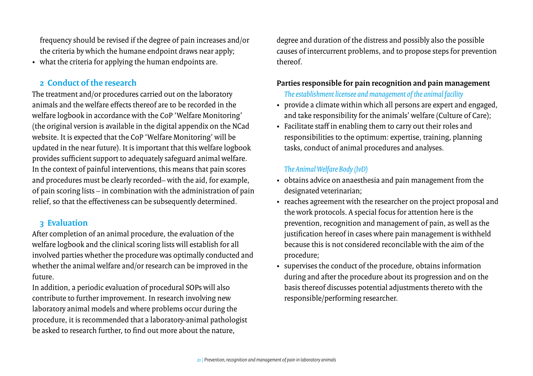frequency should be revised if the degree of pain increases and/or the criteria by which the humane endpoint draws near apply;

• what the criteria for applying the human endpoints are.

### **2 Conduct of the research**

The treatment and/or procedures carried out on the laboratory animals and the welfare effects thereof are to be recorded in the welfare logbook in accordance with the CoP 'Welfare Monitoring' (the original version is available in the digital appendix on the NCad website. It is expected that the CoP 'Welfare Monitoring' will be updated in the near future). It is important that this welfare logbook provides sufficient support to adequately safeguard animal welfare. In the context of painful interventions, this means that pain scores and procedures must be clearly recorded– with the aid, for example, of pain scoring lists – in combination with the administration of pain relief, so that the effectiveness can be subsequently determined.

### **3 Evaluation**

After completion of an animal procedure, the evaluation of the welfare logbook and the clinical scoring lists will establish for all involved parties whether the procedure was optimally conducted and whether the animal welfare and/or research can be improved in the future.

In addition, a periodic evaluation of procedural SOPs will also contribute to further improvement. In research involving new laboratory animal models and where problems occur during the procedure, it is recommended that a laboratory-animal pathologist be asked to research further, to find out more about the nature,

degree and duration of the distress and possibly also the possible causes of intercurrent problems, and to propose steps for prevention thereof.

### **Parties responsible for pain recognition and pain management**

*The establishment licensee and management of the animal facility* 

- provide a climate within which all persons are expert and engaged, and take responsibility for the animals' welfare (Culture of Care);
- Facilitate staff in enabling them to carry out their roles and responsibilities to the optimum: expertise, training, planning tasks, conduct of animal procedures and analyses.

### *The Animal Welfare Body (IvD)*

- obtains advice on anaesthesia and pain management from the designated veterinarian;
- reaches agreement with the researcher on the project proposal and the work protocols. A special focus for attention here is the prevention, recognition and management of pain, as well as the justification hereof in cases where pain management is withheld because this is not considered reconcilable with the aim of the procedure;
- supervises the conduct of the procedure, obtains information during and after the procedure about its progression and on the basis thereof discusses potential adjustments thereto with the responsible/performing researcher.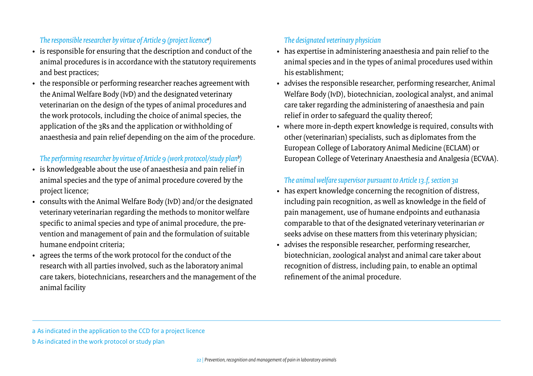### *The responsible researcher by virtue of Article 9 (project licencea )*

- is responsible for ensuring that the description and conduct of the animal procedures is in accordance with the statutory requirements and best practices;
- the responsible or performing researcher reaches agreement with the Animal Welfare Body (IvD) and the designated veterinary veterinarian on the design of the types of animal procedures and the work protocols, including the choice of animal species, the application of the 3Rs and the application or withholding of anaesthesia and pain relief depending on the aim of the procedure.

### *The performing researcher by virtue of Article 9 (work protocol/study planb )*

- is knowledgeable about the use of anaesthesia and pain relief in animal species and the type of animal procedure covered by the project licence;
- consults with the Animal Welfare Body (IvD) and/or the designated veterinary veterinarian regarding the methods to monitor welfare specific to animal species and type of animal procedure, the prevention and management of pain and the formulation of suitable humane endpoint criteria;
- agrees the terms of the work protocol for the conduct of the research with all parties involved, such as the laboratory animal care takers, biotechnicians, researchers and the management of the animal facility

### *The designated veterinary physician*

- has expertise in administering anaesthesia and pain relief to the animal species and in the types of animal procedures used within his establishment;
- advises the responsible researcher, performing researcher, Animal Welfare Body (IvD), biotechnician, zoological analyst, and animal care taker regarding the administering of anaesthesia and pain relief in order to safeguard the quality thereof;
- where more in-depth expert knowledge is required, consults with other (veterinarian) specialists, such as diplomates from the European College of Laboratory Animal Medicine (ECLAM) or European College of Veterinary Anaesthesia and Analgesia (ECVAA).

### *The animal welfare supervisor pursuant to Article 13.f, section 3a*

- has expert knowledge concerning the recognition of distress, including pain recognition, as well as knowledge in the field of pain management, use of humane endpoints and euthanasia comparable to that of the designated veterinary veterinarian *or* seeks advise on these matters from this veterinary physician;
- advises the responsible researcher, performing researcher, biotechnician, zoological analyst and animal care taker about recognition of distress, including pain, to enable an optimal refinement of the animal procedure.

b As indicated in the work protocol or study plan

a As indicated in the application to the CCD for a project licence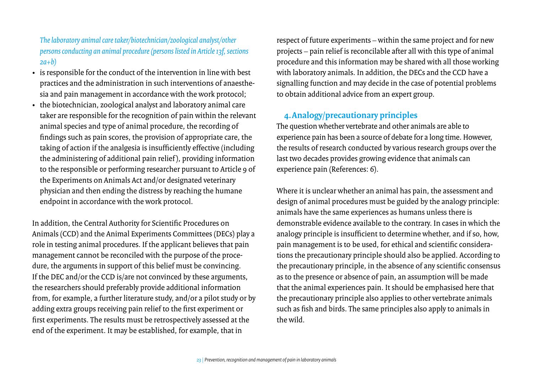### *The laboratory animal care taker/biotechnician/zoological analyst/other persons conducting an animal procedure (persons listed in Article 13f, sections 2a+b)*

- is responsible for the conduct of the intervention in line with best practices and the administration in such interventions of anaesthesia and pain management in accordance with the work protocol;
- the biotechnician, zoological analyst and laboratory animal care taker are responsible for the recognition of pain within the relevant animal species and type of animal procedure, the recording of findings such as pain scores, the provision of appropriate care, the taking of action if the analgesia is insufficiently effective (including the administering of additional pain relief ), providing information to the responsible or performing researcher pursuant to Article 9 of the Experiments on Animals Act and/or designated veterinary physician and then ending the distress by reaching the humane endpoint in accordance with the work protocol.

In addition, the Central Authority for Scientific Procedures on Animals (CCD) and the Animal Experiments Committees (DECs) play a role in testing animal procedures. If the applicant believes that pain management cannot be reconciled with the purpose of the procedure, the arguments in support of this belief must be convincing. If the DEC and/or the CCD is/are not convinced by these arguments, the researchers should preferably provide additional information from, for example, a further literature study, and/or a pilot study or by adding extra groups receiving pain relief to the first experiment or first experiments. The results must be retrospectively assessed at the end of the experiment. It may be established, for example, that in

respect of future experiments – within the same project and for new projects – pain relief is reconcilable after all with this type of animal procedure and this information may be shared with all those working with laboratory animals. In addition, the DECs and the CCD have a signalling function and may decide in the case of potential problems to obtain additional advice from an expert group.

## **4.Analogy/precautionary principles**

The question whether vertebrate and other animals are able to experience pain has been a source of debate for a long time. However, the results of research conducted by various research groups over the last two decades provides growing evidence that animals can experience pain (References: 6).

Where it is unclear whether an animal has pain, the assessment and design of animal procedures must be guided by the analogy principle: animals have the same experiences as humans unless there is demonstrable evidence available to the contrary. In cases in which the analogy principle is insufficient to determine whether, and if so, how, pain management is to be used, for ethical and scientific considerations the precautionary principle should also be applied. According to the precautionary principle, in the absence of any scientific consensus as to the presence or absence of pain, an assumption will be made that the animal experiences pain. It should be emphasised here that the precautionary principle also applies to other vertebrate animals such as fish and birds. The same principles also apply to animals in the wild.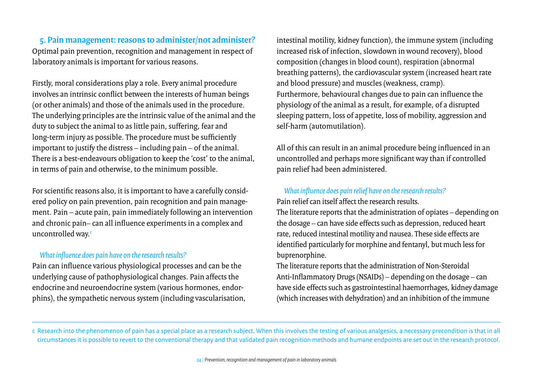**5. Pain management: reasons to administer/not administer?** Optimal pain prevention, recognition and management in respect of laboratory animals is important for various reasons.

Firstly, moral considerations play a role. Every animal procedure involves an intrinsic conflict between the interests of human beings (or other animals) and those of the animals used in the procedure. The underlying principles are the intrinsic value of the animal and the duty to subject the animal to as little pain, suffering, fear and long-term injury as possible. The procedure must be sufficiently important to justify the distress – including pain – of the animal. There is a best-endeavours obligation to keep the 'cost' to the animal, in terms of pain and otherwise, to the minimum possible.

For scientific reasons also, it is important to have a carefully considered policy on pain prevention, pain recognition and pain management. Pain – acute pain, pain immediately following an intervention and chronic pain– can all influence experiments in a complex and uncontrolled way.<sup>c</sup>

#### *What influence does pain have on the research results?*

Pain can influence various physiological processes and can be the underlying cause of pathophysiological changes. Pain affects the endocrine and neuroendocrine system (various hormones, endorphins), the sympathetic nervous system (including vascularisation, intestinal motility, kidney function), the immune system (including increased risk of infection, slowdown in wound recovery), blood composition (changes in blood count), respiration (abnormal breathing patterns), the cardiovascular system (increased heart rate and blood pressure) and muscles (weakness, cramp). Furthermore, behavioural changes due to pain can influence the physiology of the animal as a result, for example, of a disrupted sleeping pattern, loss of appetite, loss of mobility, aggression and self-harm (automutilation).

All of this can result in an animal procedure being influenced in an uncontrolled and perhaps more significant way than if controlled pain relief had been administered.

### *What influence does pain relief have on the research results?*

Pain relief can itself affect the research results.

The literature reports that the administration of opiates – depending on the dosage – can have side effects such as depression, reduced heart rate, reduced intestinal motility and nausea. These side effects are identified particularly for morphine and fentanyl, but much less for buprenorphine.

The literature reports that the administration of Non-Steroidal Anti-Inflammatory Drugs (NSAIDs) – depending on the dosage – can have side effects such as gastrointestinal haemorrhages, kidney damage (which increases with dehydration) and an inhibition of the immune

c Research into the phenomenon of pain has a special place as a research subject. When this involves the testing of various analgesics, a necessary precondition is that in all circumstances it is possible to revert to the conventional therapy and that validated pain recognition methods and humane endpoints are set out in the research protocol.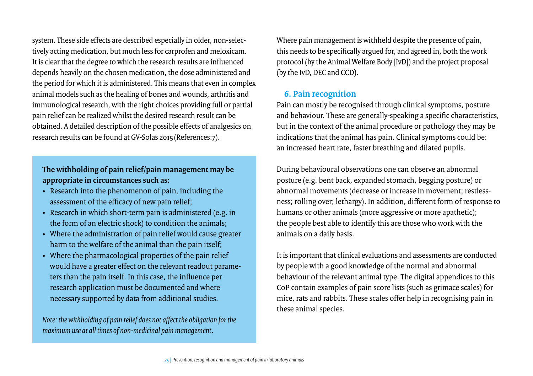system. These side effects are described especially in older, non-selectively acting medication, but much less for carprofen and meloxicam. It is clear that the degree to which the research results are influenced depends heavily on the chosen medication, the dose administered and the period for which it is administered. This means that even in complex animal models such as the healing of bones and wounds, arthritis and immunological research, with the right choices providing full or partial pain relief can be realized whilst the desired research result can be obtained. A detailed description of the possible effects of analgesics on research results can be found at GV-Solas 2015(References:7).

### **The withholding of pain relief/pain management may be appropriate in circumstances such as:**

- Research into the phenomenon of pain, including the assessment of the efficacy of new pain relief;
- Research in which short-term pain is administered (e.g. in the form of an electric shock) to condition the animals;
- Where the administration of pain relief would cause greater harm to the welfare of the animal than the pain itself;
- Where the pharmacological properties of the pain relief would have a greater effect on the relevant readout parameters than the pain itself. In this case, the influence per research application must be documented and where necessary supported by data from additional studies.

*Note: the withholding of pain relief does not affect the obligation for the maximum use at all times of non-medicinal pain management.*

Where pain management is withheld despite the presence of pain, this needs to be specifically argued for, and agreed in, both the work protocol (by the Animal Welfare Body [IvD]) and the project proposal (bythe IvD, DEC and CCD**).** 

### **6. Pain recognition**

Pain can mostly be recognised through clinical symptoms, posture and behaviour. These are generally-speaking a specific characteristics, but in the context of the animal procedure or pathology they may be indications that the animal has pain. Clinical symptoms could be: an increased heart rate, faster breathing and dilated pupils.

During behavioural observations one can observe an abnormal posture (e.g. bent back, expanded stomach, begging posture) or abnormal movements (decrease or increase in movement; restlessness; rolling over; lethargy). In addition, different form of response to humans or other animals (more aggressive or more apathetic); the people best able to identify this are those who work with the animals on a daily basis.

It is important that clinical evaluations and assessments are conducted by people with a good knowledge of the normal and abnormal behaviour of the relevant animal type. The digital appendices to this CoP contain examples of pain score lists (such as grimace scales) for mice, rats and rabbits. These scales offer help in recognising pain in these animal species.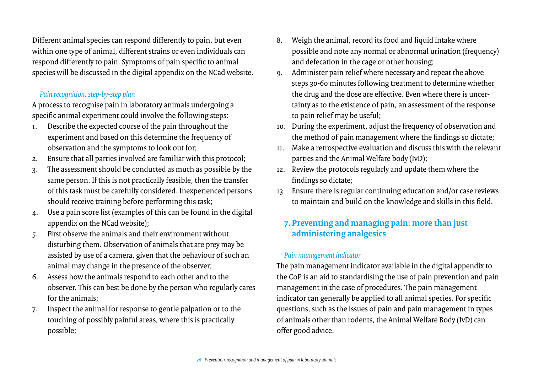Different animal species can respond differently to pain, but even within one type of animal, different strains or even individuals can respond differently to pain. Symptoms of pain specific to animal species will be discussed in the digital appendix on the NCad website.

### *Pain recognition: step-by-step plan*

A process to recognise pain in laboratory animals undergoing a specific animal experiment could involve the following steps:

- 1. Describe the expected course of the pain throughout the experiment and based on this determine the frequency of observation and the symptoms to look out for;
- 2. Ensure that all parties involved are familiar with this protocol;
- 3. The assessment should be conducted as much as possible by the same person. If this is not practically feasible, then the transfer of this task must be carefully considered. Inexperienced persons should receive training before performing this task;
- 4. Use a pain score list (examples of this can be found in the digital appendix on the NCad website);
- 5. First observe the animals and their environment without disturbing them. Observation of animals that are prey may be assisted by use of a camera, given that the behaviour of such an animal may change in the presence of the observer;
- 6. Assess how the animals respond to each other and to the observer. This can best be done by the person who regularly cares for the animals;
- 7. Inspect the animal for response to gentle palpation or to the touching of possibly painful areas, where this is practically possible;
- 8. Weigh the animal, record its food and liquid intake where possible and note any normal or abnormal urination (frequency) and defecation in the cage or other housing;
- 9. Administer pain relief where necessary and repeat the above steps 30-60 minutes following treatment to determine whether the drug and the dose are effective. Even where there is uncertainty as to the existence of pain, an assessment of the response to pain relief may be useful;
- 10. During the experiment, adjust the frequency of observation and the method of pain management where the findings so dictate;
- 11. Make a retrospective evaluation and discuss this with the relevant parties and the Animal Welfare body (IvD);
- 12. Review the protocols regularly and update them where the findings so dictate;
- 13. Ensure there is regular continuing education and/or case reviews to maintain and build on the knowledge and skills in this field.

## **7. Preventing and managing pain: more than just administering analgesics**

#### *Pain management indicator*

The pain management indicator available in the digital appendix to the CoP is an aid to standardising the use of pain prevention and pain management in the case of procedures. The pain management indicator can generally be applied to all animal species. For specific questions, such as the issues of pain and pain management in types of animals other than rodents, the Animal Welfare Body (IvD) can offer good advice.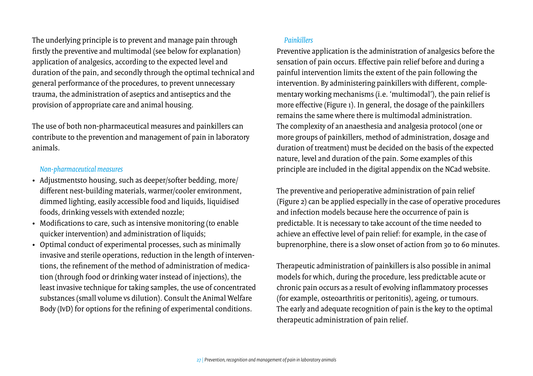The underlying principle is to prevent and manage pain through firstly the preventive and multimodal (see below for explanation) application of analgesics, according to the expected level and duration of the pain, and secondly through the optimal technical and general performance of the procedures, to prevent unnecessary trauma, the administration of aseptics and antiseptics and the provision of appropriate care and animal housing.

The use of both non-pharmaceutical measures and painkillers can contribute to the prevention and management of pain in laboratory animals.

#### *Non-pharmaceutical measures*

- Adjustmentsto housing, such as deeper/softer bedding, more/ different nest-building materials, warmer/cooler environment, dimmed lighting, easily accessible food and liquids, liquidised foods, drinking vessels with extended nozzle;
- Modifications to care, such as intensive monitoring (to enable quicker intervention) and administration of liquids;
- Optimal conduct of experimental processes, such as minimally invasive and sterile operations, reduction in the length of interventions, the refinement of the method of administration of medication (through food or drinking water instead of injections), the least invasive technique for taking samples, the use of concentrated substances (small volume vs dilution). Consult the Animal Welfare Body (IvD) for options for the refining of experimental conditions.

### *Painkillers*

Preventive application is the administration of analgesics before the sensation of pain occurs. Effective pain relief before and during a painful intervention limits the extent of the pain following the intervention. By administering painkillers with different, complementary working mechanisms (i.e. 'multimodal'), the pain relief is more effective (Figure 1). In general, the dosage of the painkillers remains the same where there is multimodal administration. The complexity of an anaesthesia and analgesia protocol (one or more groups of painkillers, method of administration, dosage and duration of treatment) must be decided on the basis of the expected nature, level and duration of the pain. Some examples of this principle are included in the digital appendix on the NCad website.

The preventive and perioperative administration of pain relief (Figure 2) can be applied especially in the case of operative procedures and infection models because here the occurrence of pain is predictable. It is necessary to take account of the time needed to achieve an effective level of pain relief: for example, in the case of buprenorphine, there is a slow onset of action from 30 to 60 minutes.

Therapeutic administration of painkillers is also possible in animal models for which, during the procedure, less predictable acute or chronic pain occurs as a result of evolving inflammatory processes (for example, osteoarthritis or peritonitis), ageing, or tumours. The early and adequate recognition of pain is the key to the optimal therapeutic administration of pain relief.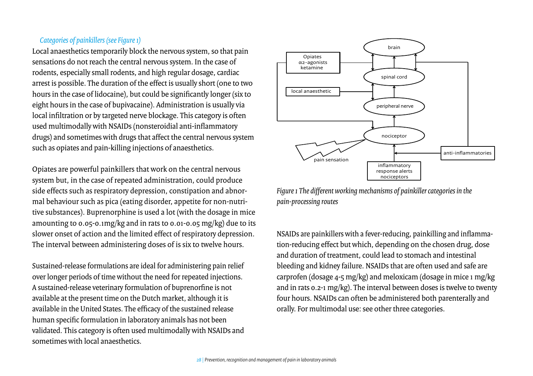### *Categories of painkillers (see Figure 1)*

Local anaesthetics temporarily block the nervous system, so that pain sensations do not reach the central nervous system. In the case of rodents, especially small rodents, and high regular dosage, cardiac arrest is possible. The duration of the effect is usually short (one to two hours in the case of lidocaine), but could be significantly longer (six to eight hours in the case of bupivacaine). Administration is usually via local infiltration or by targeted nerve blockage. This category is often used multimodally with NSAIDs (nonsteroidial anti-inflammatory drugs) and sometimes with drugs that affect the central nervous system such as opiates and pain-killing injections of anaesthetics.

Opiates are powerful painkillers that work on the central nervous system but, in the case of repeated administration, could produce side effects such as respiratory depression, constipation and abnormal behaviour such as pica (eating disorder, appetite for non-nutritive substances). Buprenorphine is used a lot (with the dosage in mice amounting to 0.05-0.1mg/kg and in rats to 0.01-0.05 mg/kg) due to its slower onset of action and the limited effect of respiratory depression. The interval between administering doses of is six to twelve hours.

Sustained-release formulations are ideal for administering pain relief over longer periods of time without the need for repeated injections. A sustained-release veterinary formulation of buprenorfine is not available at the present time on the Dutch market, although it is available in the United States. The efficacy of the sustained release human specific formulation in laboratory animals has not been validated. This category is often used multimodally with NSAIDs and sometimes with local anaesthetics.



*Figure 1 The different working mechanisms of painkiller categories in the pain-processing routes* 

NSAIDs are painkillers with a fever-reducing, painkilling and inflammation-reducing effect but which, depending on the chosen drug, dose and duration of treatment, could lead to stomach and intestinal bleeding and kidney failure. NSAIDs that are often used and safe are carprofen (dosage 4-5 mg/kg) and meloxicam (dosage in mice 1 mg/kg and in rats 0.2-1 mg/kg). The interval between doses is twelve to twenty four hours. NSAIDs can often be administered both parenterally and orally. For multimodal use: see other three categories.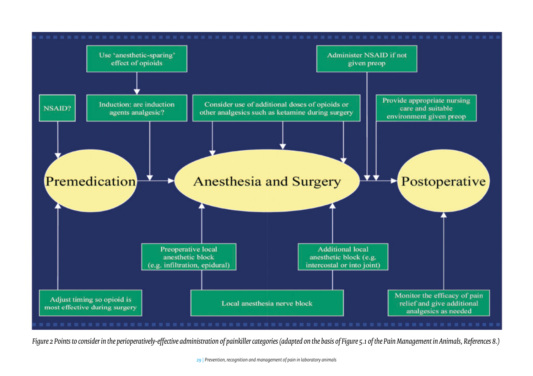

*Figure 2 Points to consider in the perioperatively-effective administration of painkiller categories (adapted on the basis of Figure 5.1 of the Pain Management in Animals, References 8.)*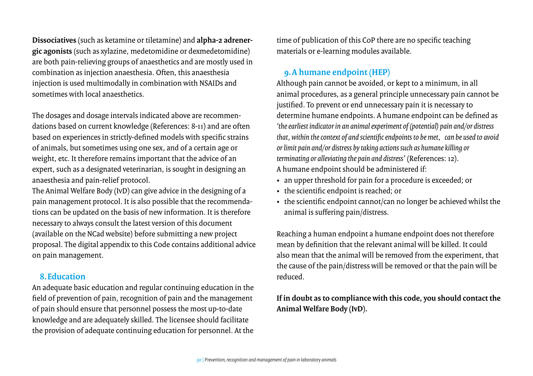**Dissociatives** (such as ketamine or tiletamine) and **alpha-2 adrenergic agonists** (such as xylazine, medetomidine or dexmedetomidine) are both pain-relieving groups of anaesthetics and are mostly used in combination as injection anaesthesia. Often, this anaesthesia injection is used multimodally in combination with NSAIDs and sometimes with local anaesthetics.

The dosages and dosage intervals indicated above are recommendations based on current knowledge (References: 8-11) and are often based on experiences in strictly-defined models with specific strains of animals, but sometimes using one sex, and of a certain age or weight, etc. It therefore remains important that the advice of an expert, such as a designated veterinarian, is sought in designing an anaesthesia and pain-relief protocol.

The Animal Welfare Body (IvD) can give advice in the designing of a pain management protocol. It is also possible that the recommendations can be updated on the basis of new information. It is therefore necessary to always consult the latest version of this document (available on the NCad website) before submitting a new project proposal. The digital appendix to this Code contains additional advice on pain management.

### **8.Education**

An adequate basic education and regular continuing education in the field of prevention of pain, recognition of pain and the management of pain should ensure that personnel possess the most up-to-date knowledge and are adequately skilled. The licensee should facilitate the provision of adequate continuing education for personnel. At the time of publication of this CoP there are no specific teaching materials or e-learning modules available.

## **9.A humane endpoint (HEP)**

Although pain cannot be avoided, or kept to a minimum, in all animal procedures, as a general principle unnecessary pain cannot be justified. To prevent or end unnecessary pain it is necessary to determine humane endpoints. A humane endpoint can be defined as *'the earliest indicator in an animal experiment of (potential) [pain](https://www.humane-endpoints.info/en/glossary-detail-page/pain) and/or [distress](https://www.humane-endpoints.info/en/glossary-detail-page/distress) that, within the context of and scientific endpoints to be met, can be used to avoid or limit pain and/or distress by taking actions such as humane killing or terminating or alleviating the pain and distress'* (References: 12). A humane endpoint should be administered if:

- an upper threshold for pain for a procedure is exceeded; or
- the scientific endpoint is reached; or
- the scientific endpoint cannot/can no longer be achieved whilst the animal is suffering pain/distress.

Reaching a human endpoint a humane endpoint does not therefore mean by definition that the relevant animal will be killed. It could also mean that the animal will be removed from the experiment, that the cause of the pain/distress will be removed or that the pain will be reduced.

## **If in doubt as to compliance with this code, you should contact the Animal Welfare Body (IvD).**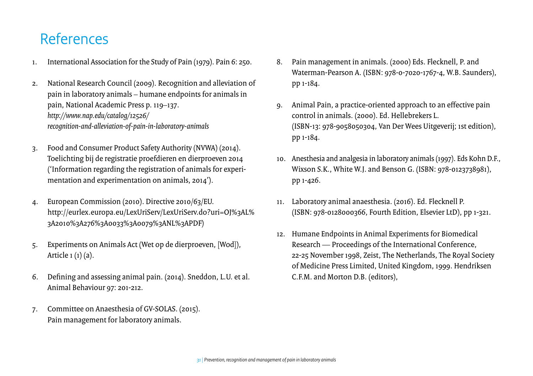# <span id="page-30-0"></span>References

- 1. International Association for the Study of Pain (1979). Pain 6: 250.
- 2. National Research Council (2009). Recognition and alleviation of pain in laboratory animals – humane endpoints for animals in pain, National Academic Press p. 119–137. *[http://www.nap.edu/catalog/12526/](http://www.nap.edu/catalog/12526/recognition-and-alleviation-of-pain-in-laboratory-animals) [recognition-and-alleviation-of-pain-in-laboratory-animals](http://www.nap.edu/catalog/12526/recognition-and-alleviation-of-pain-in-laboratory-animals)*
- 3. Food and Consumer Product Safety Authority (NVWA) (2014). Toelichting bij de registratie proefdieren en dierproeven 2014 ('Information regarding the registration of animals for experimentation and experimentation on animals, 2014').
- 4. European Commission (2010). Directive 2010/63/EU. [http://eurlex.europa.eu/LexUriServ/LexUriServ.do?uri=OJ%3AL%](http://eurlex.europa.eu/LexUriServ/LexUriServ.do?uri=OJ%3AL%3A2010%3A276%3A0033%3A0079%3ANL%3APDF) [3A2010%3A276%3A0033%3A0079%3ANL%3APDF](http://eurlex.europa.eu/LexUriServ/LexUriServ.do?uri=OJ%3AL%3A2010%3A276%3A0033%3A0079%3ANL%3APDF))
- 5. Experiments on Animals Act (Wet op de dierproeven, [Wod]), Article 1 (1) (a).
- 6. Defining and assessing animal pain. (2014). Sneddon, L.U. et al. Animal Behaviour 97: 201-212.
- 7. Committee on Anaesthesia of GV-SOLAS. (2015). Pain management for laboratory animals.
- 8. Pain management in animals. (2000) Eds. Flecknell, P. and Waterman-Pearson A. (ISBN: 978-0-7020-1767-4, W.B. Saunders), pp 1-184.
- 9. Animal Pain, a practice-oriented approach to an effective pain control in animals. (2000). Ed. Hellebrekers L. (ISBN-13: 978-9058050304, Van Der Wees Uitgeverij; 1st edition), pp 1-184.
- 10. Anesthesia and analgesia in laboratory animals (1997). Eds Kohn D.F., Wixson S.K., White W.J. and Benson G. (ISBN: 978-0123738981), pp 1-426.
- 11. Laboratory animal anaesthesia. (2016). Ed. Flecknell P. (ISBN: 978-0128000366, Fourth Edition, Elsevier LtD), pp 1-321.
- 12. Humane Endpoints in Animal Experiments for Biomedical Research — Proceedings of the International Conference, 22-25 November 1998, Zeist, The Netherlands, The Royal Society of Medicine Press Limited, United Kingdom, 1999. Hendriksen C.F.M. and Morton D.B. (editors),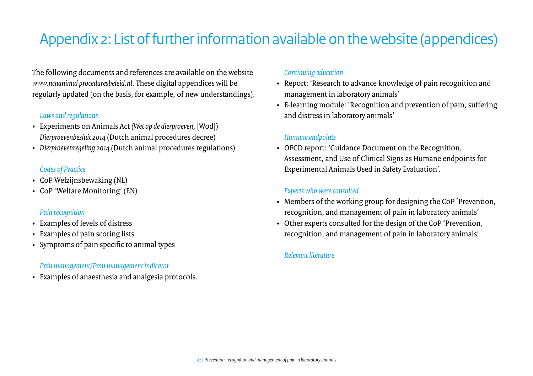# <span id="page-31-0"></span>Appendix 2: List of further information available on the website (appendices)

The following documents and references are available on the website *[www.ncaanimal proceduresbeleid.nl](http://www.ncadierproevenbeleid.nl)*. These digital appendices will be regularly updated (on the basis, for example, of new understandings).

### *Laws and regulations*

- Experiments on Animals Act *(Wet op de dierproeven,* [Wod]) *Dierproevenbesluit 2014* (Dutch animal procedures decree)
- *Dierproevenregeling 2014* (Dutch animal procedures regulations)

### *Codes of Practice*

- CoP Welzijnsbewaking (NL)
- CoP 'Welfare Monitoring' (EN)

#### *Pain recognition*

- Examples of levels of distress
- Examples of pain scoring lists
- Symptoms of pain specific to animal types

### *Pain management/Pain management indicator*

• Examples of anaesthesia and analgesia protocols.

#### *Continuing education*

- Report: 'Research to advance knowledge of pain recognition and management in laboratory animals'
- E-learning module: 'Recognition and prevention of pain, suffering and distress in laboratory animals'

#### *Humane endpoints*

• OECD report: 'Guidance Document on the Recognition, Assessment, and Use of Clinical Signs as Humane endpoints for Experimental Animals Used in Safety Evaluation'.

### *Experts who were consulted*

- Members of the working group for designing the CoP 'Prevention, recognition, and management of pain in laboratory animals'
- Other experts consulted for the design of the CoP 'Prevention, recognition, and management of pain in laboratory animals'

### *Relevant literature*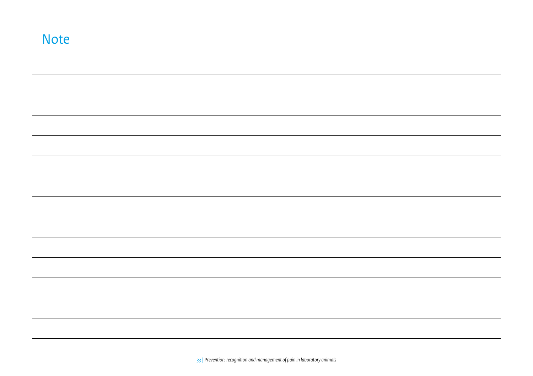| <b>Note</b> |  |  |  |
|-------------|--|--|--|
|             |  |  |  |
|             |  |  |  |
|             |  |  |  |
|             |  |  |  |
|             |  |  |  |
|             |  |  |  |
|             |  |  |  |
|             |  |  |  |
|             |  |  |  |
|             |  |  |  |
|             |  |  |  |
|             |  |  |  |
|             |  |  |  |
|             |  |  |  |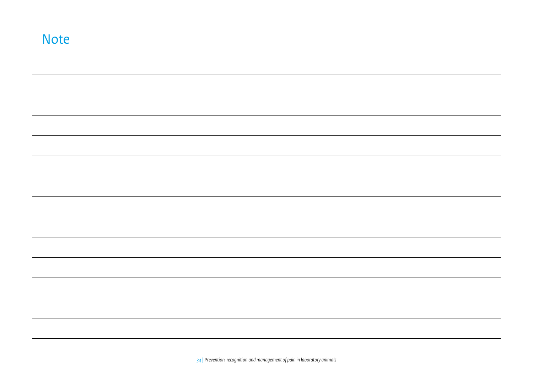| <b>Note</b> |  |  |  |
|-------------|--|--|--|
|             |  |  |  |
|             |  |  |  |
|             |  |  |  |
|             |  |  |  |
|             |  |  |  |
|             |  |  |  |
|             |  |  |  |
|             |  |  |  |
|             |  |  |  |
|             |  |  |  |
|             |  |  |  |
|             |  |  |  |
|             |  |  |  |
|             |  |  |  |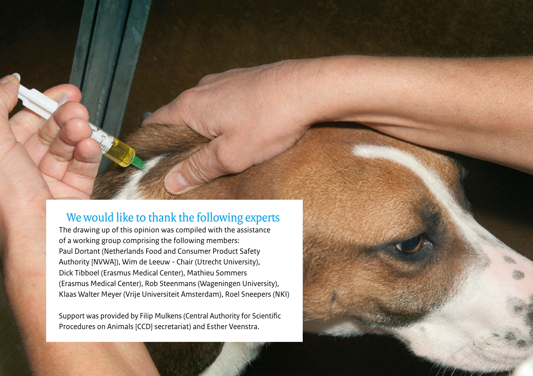## We would like to thank the following experts

The drawing up of this opinion was compiled with the assistance of a working group comprising the following members: Paul Dortant (Netherlands Food and Consumer Product Safety Authority [NVWA]), Wim de Leeuw - Chair (Utrecht University), Dick Tibboel (Erasmus Medical Center), Mathieu Sommers (Erasmus Medical Center), Rob Steenmans (Wageningen University), Klaas Walter Meyer (Vrije Universiteit Amsterdam), Roel Sneepers (NKI)

Support was provided by Filip Mulkens (Central Authority for Scientific Procedures on Animals [CCD] secretariat) and Esther Veenstra.

*35 | Prevention, recognition and management of pain in laboratory animals*